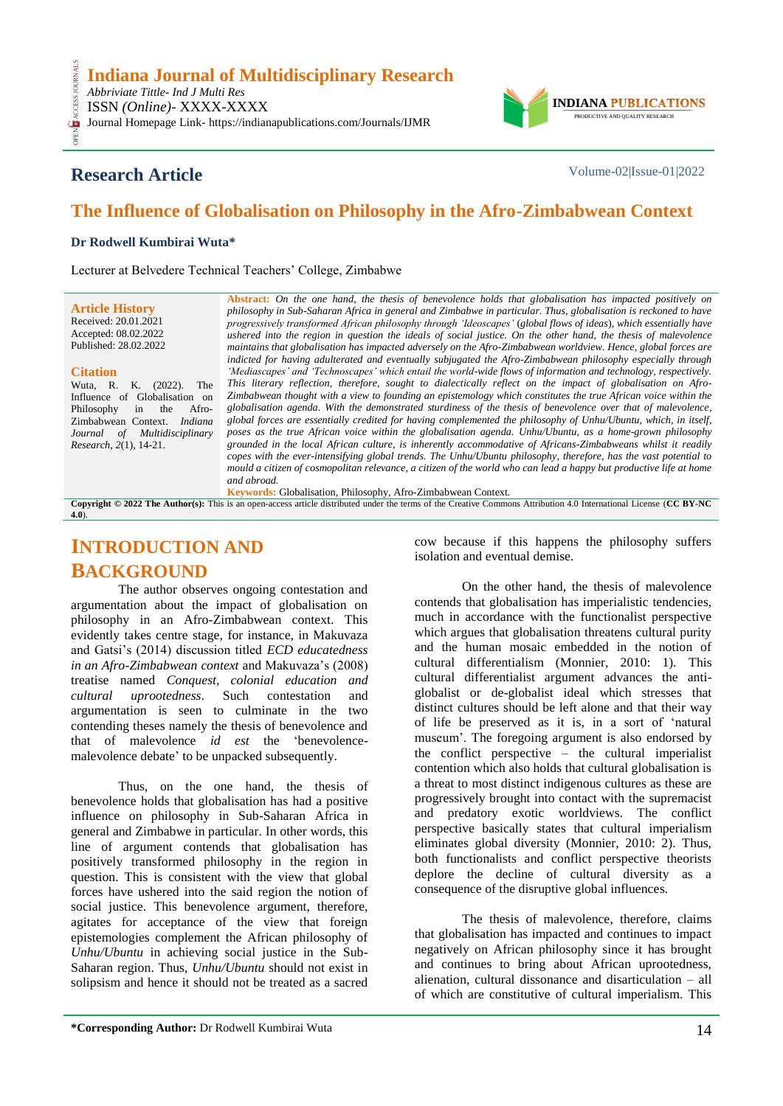*Abbriviate Tittle- Ind J Multi Res* ISSN *(Online)*- XXXX-XXXX

OPEN ACCESS JOURNALS CESS Journal Homepage Link- https://indianapublications.com/Journals/IJMR



### **Research Article** Volume-02|Issue-01|2022

## **The Influence of Globalisation on Philosophy in the Afro-Zimbabwean Context**

### **Dr Rodwell Kumbirai Wuta\***

Lecturer at Belvedere Technical Teachers" College, Zimbabwe

**Article History** Received: 20.01.2021 Accepted: 08.02.2022 Published: 28.02.2022

#### **Citation**

Wuta, R. K. (2022). The Influence of Globalisation on Philosophy in the Afro-Zimbabwean Context. *Indiana Journal of Multidisciplinary Research, 2*(1), 14-21.

**Abstract:** *On the one hand, the thesis of benevolence holds that globalisation has impacted positively on philosophy in Sub-Saharan Africa in general and Zimbabwe in particular. Thus, globalisation is reckoned to have progressively transformed African philosophy through 'Ideoscapes'* (*global flows of ideas*), *which essentially have ushered into the region in question the ideals of social justice. On the other hand, the thesis of malevolence maintains that globalisation has impacted adversely on the Afro-Zimbabwean worldview. Hence, global forces are indicted for having adulterated and eventually subjugated the Afro-Zimbabwean philosophy especially through 'Mediascapes' and 'Technoscapes' which entail the world-wide flows of information and technology, respectively. This literary reflection, therefore, sought to dialectically reflect on the impact of globalisation on Afro-Zimbabwean thought with a view to founding an epistemology which constitutes the true African voice within the globalisation agenda. With the demonstrated sturdiness of the thesis of benevolence over that of malevolence, global forces are essentially credited for having complemented the philosophy of Unhu/Ubuntu, which, in itself, poses as the true African voice within the globalisation agenda. Unhu/Ubuntu, as a home-grown philosophy grounded in the local African culture, is inherently accommodative of Africans-Zimbabweans whilst it readily copes with the ever-intensifying global trends. The Unhu/Ubuntu philosophy, therefore, has the vast potential to mould a citizen of cosmopolitan relevance, a citizen of the world who can lead a happy but productive life at home and abroad.* **Keywords:** Globalisation, Philosophy, Afro-Zimbabwean Context*.*

**Copyright © 2022 The Author(s):** This is an open-access article distributed under the terms of the Creative Commons Attribution 4.0 International License (**[CC BY-NC](https://creativecommons.org/licenses/by-nc/4.0/)  [4.0](https://creativecommons.org/licenses/by-nc/4.0/)**).

# **INTRODUCTION AND BACKGROUND**

The author observes ongoing contestation and argumentation about the impact of globalisation on philosophy in an Afro-Zimbabwean context. This evidently takes centre stage, for instance, in Makuvaza and Gatsi"s (2014) discussion titled *ECD educatedness in an Afro-Zimbabwean context* and Makuvaza"s (2008) treatise named *Conquest, colonial education and cultural uprootedness*. Such contestation and argumentation is seen to culminate in the two contending theses namely the thesis of benevolence and that of malevolence *id est* the "benevolencemalevolence debate' to be unpacked subsequently.

Thus, on the one hand, the thesis of benevolence holds that globalisation has had a positive influence on philosophy in Sub-Saharan Africa in general and Zimbabwe in particular. In other words, this line of argument contends that globalisation has positively transformed philosophy in the region in question. This is consistent with the view that global forces have ushered into the said region the notion of social justice. This benevolence argument, therefore, agitates for acceptance of the view that foreign epistemologies complement the African philosophy of *Unhu/Ubuntu* in achieving social justice in the Sub-Saharan region. Thus, *Unhu/Ubuntu* should not exist in solipsism and hence it should not be treated as a sacred

cow because if this happens the philosophy suffers isolation and eventual demise.

On the other hand, the thesis of malevolence contends that globalisation has imperialistic tendencies, much in accordance with the functionalist perspective which argues that globalisation threatens cultural purity and the human mosaic embedded in the notion of cultural differentialism (Monnier, 2010: 1). This cultural differentialist argument advances the antiglobalist or de-globalist ideal which stresses that distinct cultures should be left alone and that their way of life be preserved as it is, in a sort of "natural museum". The foregoing argument is also endorsed by the conflict perspective – the cultural imperialist contention which also holds that cultural globalisation is a threat to most distinct indigenous cultures as these are progressively brought into contact with the supremacist and predatory exotic worldviews. The conflict perspective basically states that cultural imperialism eliminates global diversity (Monnier, 2010: 2). Thus, both functionalists and conflict perspective theorists deplore the decline of cultural diversity as a consequence of the disruptive global influences.

The thesis of malevolence, therefore, claims that globalisation has impacted and continues to impact negatively on African philosophy since it has brought and continues to bring about African uprootedness, alienation, cultural dissonance and disarticulation – all of which are constitutive of cultural imperialism. This

**\*Corresponding Author:** Dr Rodwell Kumbirai Wuta 14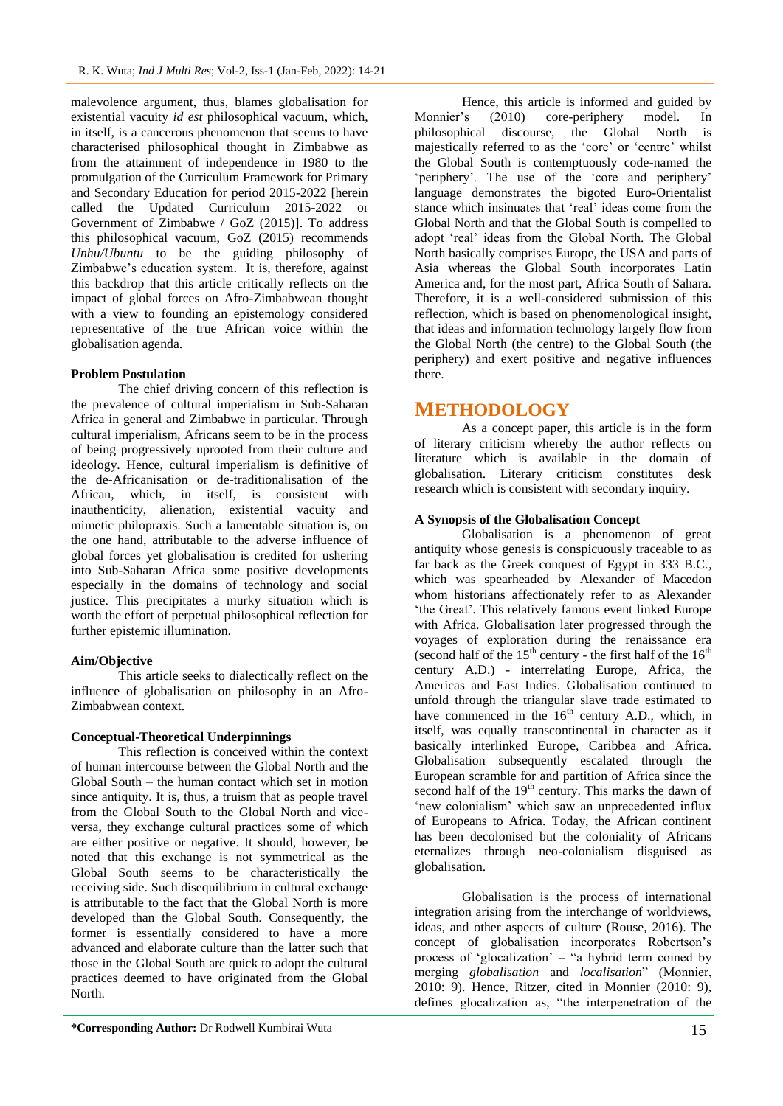malevolence argument, thus, blames globalisation for existential vacuity *id est* philosophical vacuum, which, in itself, is a cancerous phenomenon that seems to have characterised philosophical thought in Zimbabwe as from the attainment of independence in 1980 to the promulgation of the Curriculum Framework for Primary and Secondary Education for period 2015-2022 [herein called the Updated Curriculum 2015-2022 or Government of Zimbabwe / GoZ (2015)]. To address this philosophical vacuum, GoZ (2015) recommends *Unhu/Ubuntu* to be the guiding philosophy of Zimbabwe"s education system. It is, therefore, against this backdrop that this article critically reflects on the impact of global forces on Afro-Zimbabwean thought with a view to founding an epistemology considered representative of the true African voice within the globalisation agenda.

### **Problem Postulation**

The chief driving concern of this reflection is the prevalence of cultural imperialism in Sub-Saharan Africa in general and Zimbabwe in particular. Through cultural imperialism, Africans seem to be in the process of being progressively uprooted from their culture and ideology. Hence, cultural imperialism is definitive of the de-Africanisation or de-traditionalisation of the African, which, in itself, is consistent with inauthenticity, alienation, existential vacuity and mimetic philopraxis. Such a lamentable situation is, on the one hand, attributable to the adverse influence of global forces yet globalisation is credited for ushering into Sub-Saharan Africa some positive developments especially in the domains of technology and social justice. This precipitates a murky situation which is worth the effort of perpetual philosophical reflection for further epistemic illumination.

### **Aim/Objective**

This article seeks to dialectically reflect on the influence of globalisation on philosophy in an Afro-Zimbabwean context.

### **Conceptual-Theoretical Underpinnings**

This reflection is conceived within the context of human intercourse between the Global North and the Global South – the human contact which set in motion since antiquity. It is, thus, a truism that as people travel from the Global South to the Global North and viceversa, they exchange cultural practices some of which are either positive or negative. It should, however, be noted that this exchange is not symmetrical as the Global South seems to be characteristically the receiving side. Such disequilibrium in cultural exchange is attributable to the fact that the Global North is more developed than the Global South. Consequently, the former is essentially considered to have a more advanced and elaborate culture than the latter such that those in the Global South are quick to adopt the cultural practices deemed to have originated from the Global North.

Hence, this article is informed and guided by Monnier's (2010) core-periphery model. In philosophical discourse, the Global North is majestically referred to as the "core" or "centre" whilst the Global South is contemptuously code-named the 'periphery'. The use of the 'core and periphery' language demonstrates the bigoted Euro-Orientalist stance which insinuates that "real" ideas come from the Global North and that the Global South is compelled to adopt "real" ideas from the Global North. The Global North basically comprises Europe, the USA and parts of Asia whereas the Global South incorporates Latin America and, for the most part, Africa South of Sahara. Therefore, it is a well-considered submission of this reflection, which is based on phenomenological insight, that ideas and information technology largely flow from the Global North (the centre) to the Global South (the periphery) and exert positive and negative influences there.

### **METHODOLOGY**

As a concept paper, this article is in the form of literary criticism whereby the author reflects on literature which is available in the domain of globalisation. Literary criticism constitutes desk research which is consistent with secondary inquiry.

### **A Synopsis of the Globalisation Concept**

Globalisation is a phenomenon of great antiquity whose genesis is conspicuously traceable to as far back as the Greek conquest of Egypt in 333 B.C., which was spearheaded by Alexander of Macedon whom historians affectionately refer to as Alexander 'the Great'. This relatively famous event linked Europe with Africa. Globalisation later progressed through the voyages of exploration during the renaissance era (second half of the  $15<sup>th</sup>$  century - the first half of the  $16<sup>th</sup>$ century A.D.) - interrelating Europe, Africa, the Americas and East Indies. Globalisation continued to unfold through the triangular slave trade estimated to have commenced in the  $16<sup>th</sup>$  century A.D., which, in itself, was equally transcontinental in character as it basically interlinked Europe, Caribbea and Africa. Globalisation subsequently escalated through the European scramble for and partition of Africa since the second half of the  $19<sup>th</sup>$  century. This marks the dawn of 'new colonialism' which saw an unprecedented influx of Europeans to Africa. Today, the African continent has been decolonised but the coloniality of Africans eternalizes through neo-colonialism disguised as globalisation.

Globalisation is the process of international integration arising from the interchange of worldviews, ideas, and other aspects of culture (Rouse, 2016). The concept of globalisation incorporates Robertson"s process of 'glocalization' – "a hybrid term coined by merging *globalisation* and *localisation*" (Monnier, 2010: 9). Hence, Ritzer, cited in Monnier (2010: 9), defines glocalization as, "the interpenetration of the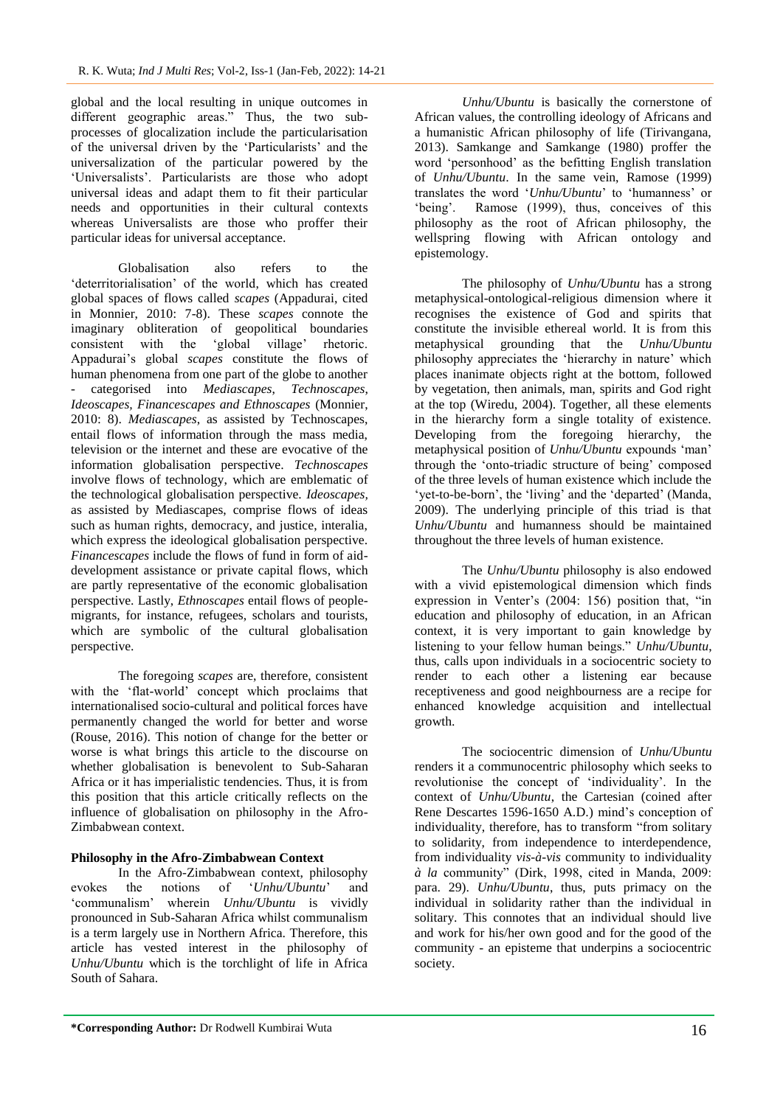global and the local resulting in unique outcomes in different geographic areas." Thus, the two subprocesses of glocalization include the particularisation of the universal driven by the "Particularists" and the universalization of the particular powered by the 'Universalists'. Particularists are those who adopt universal ideas and adapt them to fit their particular needs and opportunities in their cultural contexts whereas Universalists are those who proffer their particular ideas for universal acceptance.

Globalisation also refers to the "deterritorialisation" of the world, which has created global spaces of flows called *scapes* (Appadurai, cited in Monnier, 2010: 7-8). These *scapes* connote the imaginary obliteration of geopolitical boundaries consistent with the 'global village' rhetoric. Appadurai"s global *scapes* constitute the flows of human phenomena from one part of the globe to another - categorised into *Mediascapes*, *Technoscapes*, *Ideoscapes, Financescapes and Ethnoscapes* (Monnier, 2010: 8). *Mediascapes*, as assisted by Technoscapes, entail flows of information through the mass media, television or the internet and these are evocative of the information globalisation perspective. *Technoscapes* involve flows of technology, which are emblematic of the technological globalisation perspective. *Ideoscapes,*  as assisted by Mediascapes, comprise flows of ideas such as human rights, democracy, and justice, interalia, which express the ideological globalisation perspective. *Financescapes* include the flows of fund in form of aiddevelopment assistance or private capital flows, which are partly representative of the economic globalisation perspective. Lastly, *Ethnoscapes* entail flows of peoplemigrants, for instance, refugees, scholars and tourists, which are symbolic of the cultural globalisation perspective.

The foregoing *scapes* are, therefore, consistent with the "flat-world" concept which proclaims that internationalised socio-cultural and political forces have permanently changed the world for better and worse (Rouse, 2016). This notion of change for the better or worse is what brings this article to the discourse on whether globalisation is benevolent to Sub-Saharan Africa or it has imperialistic tendencies. Thus, it is from this position that this article critically reflects on the influence of globalisation on philosophy in the Afro-Zimbabwean context.

### **Philosophy in the Afro-Zimbabwean Context**

In the Afro-Zimbabwean context, philosophy evokes the notions of "*Unhu/Ubuntu*" and "communalism" wherein *Unhu/Ubuntu* is vividly pronounced in Sub-Saharan Africa whilst communalism is a term largely use in Northern Africa. Therefore, this article has vested interest in the philosophy of *Unhu/Ubuntu* which is the torchlight of life in Africa South of Sahara.

*Unhu/Ubuntu* is basically the cornerstone of African values, the controlling ideology of Africans and a humanistic African philosophy of life (Tirivangana, 2013). Samkange and Samkange (1980) proffer the word "personhood" as the befitting English translation of *Unhu/Ubuntu*. In the same vein, Ramose (1999) translates the word "*Unhu/Ubuntu*" to "humanness" or 'being'. Ramose (1999), thus, conceives of this philosophy as the root of African philosophy, the wellspring flowing with African ontology and epistemology.

The philosophy of *Unhu/Ubuntu* has a strong metaphysical-ontological-religious dimension where it recognises the existence of God and spirits that constitute the invisible ethereal world. It is from this metaphysical grounding that the *Unhu/Ubuntu* philosophy appreciates the 'hierarchy in nature' which places inanimate objects right at the bottom, followed by vegetation, then animals, man, spirits and God right at the top (Wiredu, 2004). Together, all these elements in the hierarchy form a single totality of existence. Developing from the foregoing hierarchy, the metaphysical position of *Unhu/Ubuntu* expounds "man" through the 'onto-triadic structure of being' composed of the three levels of human existence which include the 'yet-to-be-born', the 'living' and the 'departed' (Manda, 2009). The underlying principle of this triad is that *Unhu/Ubuntu* and humanness should be maintained throughout the three levels of human existence.

The *Unhu/Ubuntu* philosophy is also endowed with a vivid epistemological dimension which finds expression in Venter's  $(2004: 156)$  position that, "in education and philosophy of education, in an African context, it is very important to gain knowledge by listening to your fellow human beings." *Unhu/Ubuntu*, thus, calls upon individuals in a sociocentric society to render to each other a listening ear because receptiveness and good neighbourness are a recipe for enhanced knowledge acquisition and intellectual growth.

The sociocentric dimension of *Unhu/Ubuntu* renders it a communocentric philosophy which seeks to revolutionise the concept of "individuality". In the context of *Unhu/Ubuntu*, the Cartesian (coined after Rene Descartes 1596-1650 A.D.) mind"s conception of individuality, therefore, has to transform "from solitary to solidarity, from independence to interdependence, from individuality *vis-à-vis* community to individuality *à la* community" (Dirk, 1998, cited in Manda, 2009: para. 29). *Unhu/Ubuntu*, thus, puts primacy on the individual in solidarity rather than the individual in solitary. This connotes that an individual should live and work for his/her own good and for the good of the community - an episteme that underpins a sociocentric society.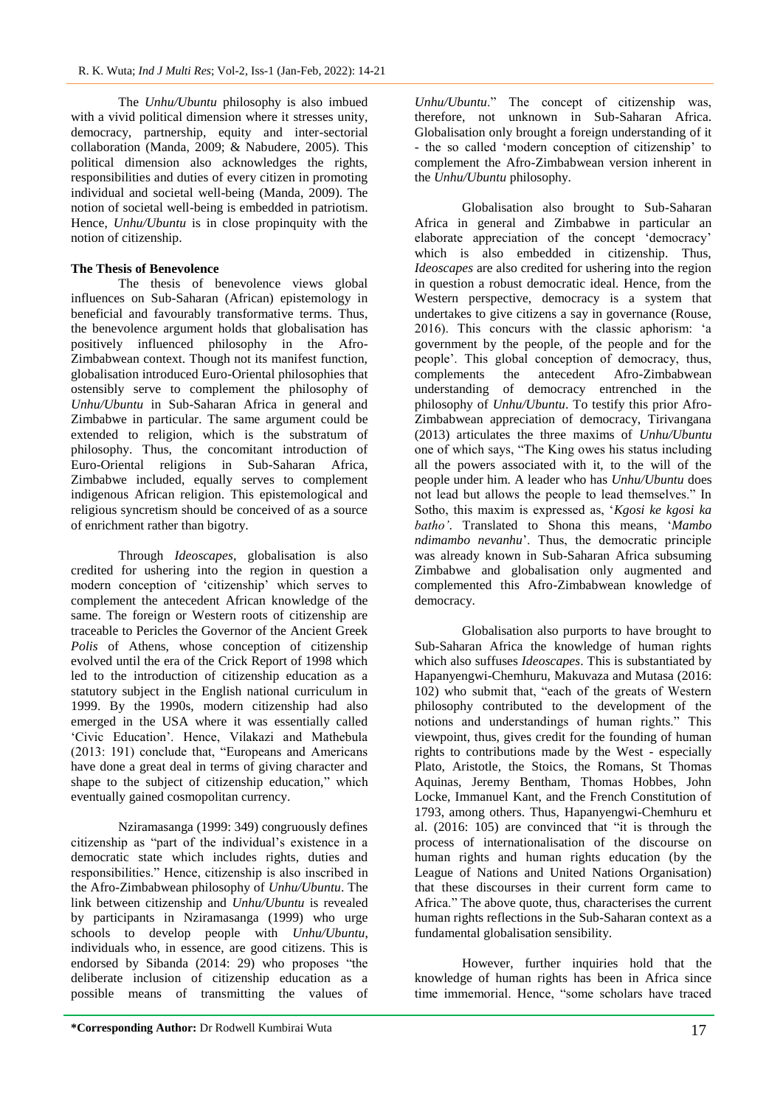The *Unhu/Ubuntu* philosophy is also imbued with a vivid political dimension where it stresses unity, democracy, partnership, equity and inter-sectorial collaboration (Manda, 2009; & Nabudere, 2005). This political dimension also acknowledges the rights, responsibilities and duties of every citizen in promoting individual and societal well-being (Manda, 2009). The notion of societal well-being is embedded in patriotism. Hence, *Unhu/Ubuntu* is in close propinquity with the notion of citizenship.

### **The Thesis of Benevolence**

The thesis of benevolence views global influences on Sub-Saharan (African) epistemology in beneficial and favourably transformative terms. Thus, the benevolence argument holds that globalisation has positively influenced philosophy in the Afro-Zimbabwean context. Though not its manifest function, globalisation introduced Euro-Oriental philosophies that ostensibly serve to complement the philosophy of *Unhu/Ubuntu* in Sub-Saharan Africa in general and Zimbabwe in particular. The same argument could be extended to religion, which is the substratum of philosophy. Thus, the concomitant introduction of Euro-Oriental religions in Sub-Saharan Africa, Zimbabwe included, equally serves to complement indigenous African religion. This epistemological and religious syncretism should be conceived of as a source of enrichment rather than bigotry.

Through *Ideoscapes*, globalisation is also credited for ushering into the region in question a modern conception of "citizenship" which serves to complement the antecedent African knowledge of the same. The foreign or Western roots of citizenship are traceable to Pericles the Governor of the Ancient Greek *Polis* of Athens, whose conception of citizenship evolved until the era of the Crick Report of 1998 which led to the introduction of citizenship education as a statutory subject in the English national curriculum in 1999. By the 1990s, modern citizenship had also emerged in the USA where it was essentially called "Civic Education". Hence, Vilakazi and Mathebula (2013: 191) conclude that, "Europeans and Americans have done a great deal in terms of giving character and shape to the subject of citizenship education," which eventually gained cosmopolitan currency.

Nziramasanga (1999: 349) congruously defines citizenship as "part of the individual"s existence in a democratic state which includes rights, duties and responsibilities." Hence, citizenship is also inscribed in the Afro-Zimbabwean philosophy of *Unhu/Ubuntu*. The link between citizenship and *Unhu/Ubuntu* is revealed by participants in Nziramasanga (1999) who urge schools to develop people with *Unhu/Ubuntu*, individuals who, in essence, are good citizens. This is endorsed by Sibanda (2014: 29) who proposes "the deliberate inclusion of citizenship education as a possible means of transmitting the values of

*Unhu/Ubuntu*." The concept of citizenship was, therefore, not unknown in Sub-Saharan Africa. Globalisation only brought a foreign understanding of it - the so called "modern conception of citizenship" to complement the Afro-Zimbabwean version inherent in the *Unhu/Ubuntu* philosophy.

Globalisation also brought to Sub-Saharan Africa in general and Zimbabwe in particular an elaborate appreciation of the concept 'democracy' which is also embedded in citizenship. Thus, *Ideoscapes* are also credited for ushering into the region in question a robust democratic ideal. Hence, from the Western perspective, democracy is a system that undertakes to give citizens a say in governance (Rouse, 2016). This concurs with the classic aphorism: "a government by the people, of the people and for the people". This global conception of democracy, thus, complements the antecedent Afro-Zimbabwean understanding of democracy entrenched in the philosophy of *Unhu/Ubuntu*. To testify this prior Afro-Zimbabwean appreciation of democracy, Tirivangana (2013) articulates the three maxims of *Unhu/Ubuntu* one of which says, "The King owes his status including all the powers associated with it, to the will of the people under him. A leader who has *Unhu/Ubuntu* does not lead but allows the people to lead themselves." In Sotho, this maxim is expressed as, "*Kgosi ke kgosi ka batho'*. Translated to Shona this means, "*Mambo ndimambo nevanhu*". Thus, the democratic principle was already known in Sub-Saharan Africa subsuming Zimbabwe and globalisation only augmented and complemented this Afro-Zimbabwean knowledge of democracy.

Globalisation also purports to have brought to Sub-Saharan Africa the knowledge of human rights which also suffuses *Ideoscapes*. This is substantiated by Hapanyengwi-Chemhuru, Makuvaza and Mutasa (2016: 102) who submit that, "each of the greats of Western philosophy contributed to the development of the notions and understandings of human rights." This viewpoint, thus, gives credit for the founding of human rights to contributions made by the West - especially Plato, Aristotle, the Stoics, the Romans, St Thomas Aquinas, Jeremy Bentham, Thomas Hobbes, John Locke, Immanuel Kant, and the French Constitution of 1793, among others. Thus, Hapanyengwi-Chemhuru et al. (2016: 105) are convinced that "it is through the process of internationalisation of the discourse on human rights and human rights education (by the League of Nations and United Nations Organisation) that these discourses in their current form came to Africa." The above quote, thus, characterises the current human rights reflections in the Sub-Saharan context as a fundamental globalisation sensibility.

However, further inquiries hold that the knowledge of human rights has been in Africa since time immemorial. Hence, "some scholars have traced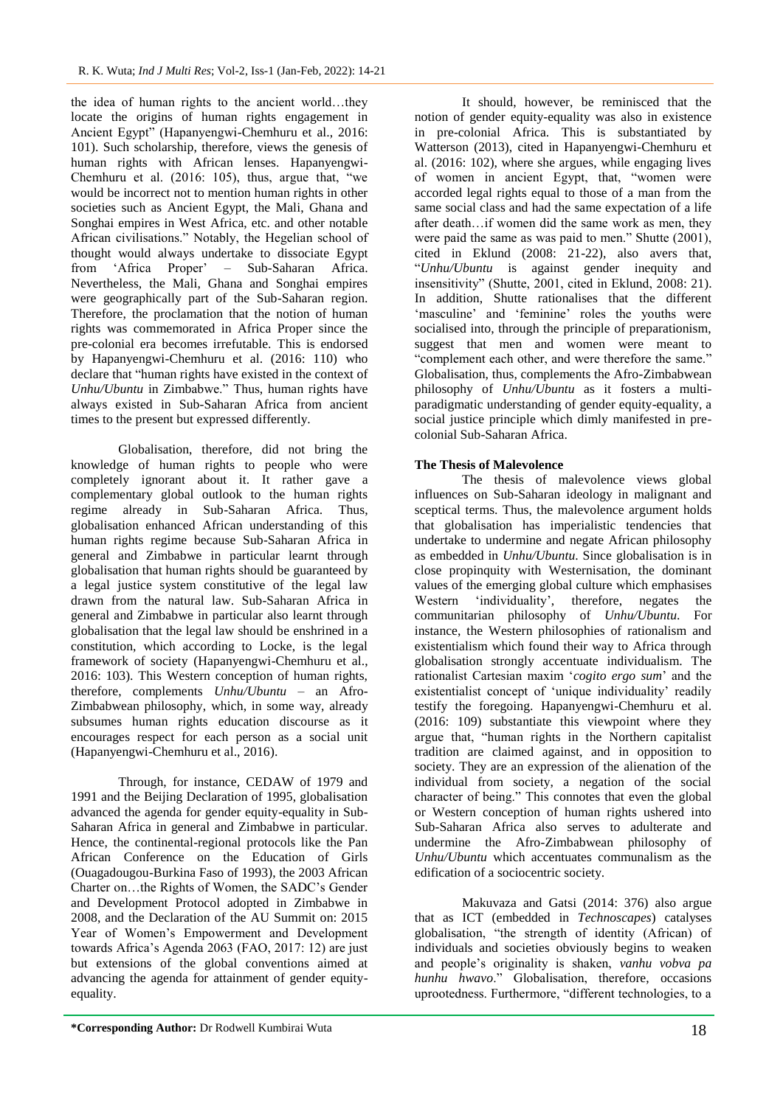the idea of human rights to the ancient world…they locate the origins of human rights engagement in Ancient Egypt" (Hapanyengwi-Chemhuru et al., 2016: 101). Such scholarship, therefore, views the genesis of human rights with African lenses. Hapanyengwi-Chemhuru et al. (2016: 105), thus, argue that, "we would be incorrect not to mention human rights in other societies such as Ancient Egypt, the Mali, Ghana and Songhai empires in West Africa, etc. and other notable African civilisations." Notably, the Hegelian school of thought would always undertake to dissociate Egypt from "Africa Proper" – Sub-Saharan Africa. Nevertheless, the Mali, Ghana and Songhai empires were geographically part of the Sub-Saharan region. Therefore, the proclamation that the notion of human rights was commemorated in Africa Proper since the pre-colonial era becomes irrefutable. This is endorsed by Hapanyengwi-Chemhuru et al. (2016: 110) who declare that "human rights have existed in the context of *Unhu/Ubuntu* in Zimbabwe." Thus, human rights have always existed in Sub-Saharan Africa from ancient times to the present but expressed differently.

Globalisation, therefore, did not bring the knowledge of human rights to people who were completely ignorant about it. It rather gave a complementary global outlook to the human rights regime already in Sub-Saharan Africa. Thus, globalisation enhanced African understanding of this human rights regime because Sub-Saharan Africa in general and Zimbabwe in particular learnt through globalisation that human rights should be guaranteed by a legal justice system constitutive of the legal law drawn from the natural law. Sub-Saharan Africa in general and Zimbabwe in particular also learnt through globalisation that the legal law should be enshrined in a constitution, which according to Locke, is the legal framework of society (Hapanyengwi-Chemhuru et al., 2016: 103). This Western conception of human rights, therefore, complements *Unhu/Ubuntu* – an Afro-Zimbabwean philosophy, which, in some way, already subsumes human rights education discourse as it encourages respect for each person as a social unit (Hapanyengwi-Chemhuru et al., 2016).

Through, for instance, CEDAW of 1979 and 1991 and the Beijing Declaration of 1995, globalisation advanced the agenda for gender equity-equality in Sub-Saharan Africa in general and Zimbabwe in particular. Hence, the continental-regional protocols like the Pan African Conference on the Education of Girls (Ouagadougou-Burkina Faso of 1993), the 2003 African Charter on…the Rights of Women, the SADC"s Gender and Development Protocol adopted in Zimbabwe in 2008, and the Declaration of the AU Summit on: 2015 Year of Women"s Empowerment and Development towards Africa"s Agenda 2063 (FAO, 2017: 12) are just but extensions of the global conventions aimed at advancing the agenda for attainment of gender equityequality.

It should, however, be reminisced that the notion of gender equity-equality was also in existence in pre-colonial Africa. This is substantiated by Watterson (2013), cited in Hapanyengwi-Chemhuru et al. (2016: 102), where she argues, while engaging lives of women in ancient Egypt, that, "women were accorded legal rights equal to those of a man from the same social class and had the same expectation of a life after death…if women did the same work as men, they were paid the same as was paid to men." Shutte (2001), cited in Eklund (2008: 21-22), also avers that, "*Unhu/Ubuntu* is against gender inequity and insensitivity" (Shutte, 2001, cited in Eklund, 2008: 21). In addition, Shutte rationalises that the different 'masculine' and 'feminine' roles the youths were socialised into, through the principle of preparationism, suggest that men and women were meant to "complement each other, and were therefore the same." Globalisation, thus, complements the Afro-Zimbabwean philosophy of *Unhu/Ubuntu* as it fosters a multiparadigmatic understanding of gender equity-equality, a social justice principle which dimly manifested in precolonial Sub-Saharan Africa.

### **The Thesis of Malevolence**

The thesis of malevolence views global influences on Sub-Saharan ideology in malignant and sceptical terms. Thus, the malevolence argument holds that globalisation has imperialistic tendencies that undertake to undermine and negate African philosophy as embedded in *Unhu/Ubuntu*. Since globalisation is in close propinquity with Westernisation, the dominant values of the emerging global culture which emphasises Western 'individuality', therefore, negates the communitarian philosophy of *Unhu/Ubuntu*. For instance, the Western philosophies of rationalism and existentialism which found their way to Africa through globalisation strongly accentuate individualism. The rationalist Cartesian maxim "*cogito ergo sum*" and the existentialist concept of "unique individuality" readily testify the foregoing. Hapanyengwi-Chemhuru et al. (2016: 109) substantiate this viewpoint where they argue that, "human rights in the Northern capitalist tradition are claimed against, and in opposition to society. They are an expression of the alienation of the individual from society, a negation of the social character of being." This connotes that even the global or Western conception of human rights ushered into Sub-Saharan Africa also serves to adulterate and undermine the Afro-Zimbabwean philosophy of *Unhu/Ubuntu* which accentuates communalism as the edification of a sociocentric society.

Makuvaza and Gatsi (2014: 376) also argue that as ICT (embedded in *Technoscapes*) catalyses globalisation, "the strength of identity (African) of individuals and societies obviously begins to weaken and people"s originality is shaken, *vanhu vobva pa hunhu hwavo*." Globalisation, therefore, occasions uprootedness. Furthermore, "different technologies, to a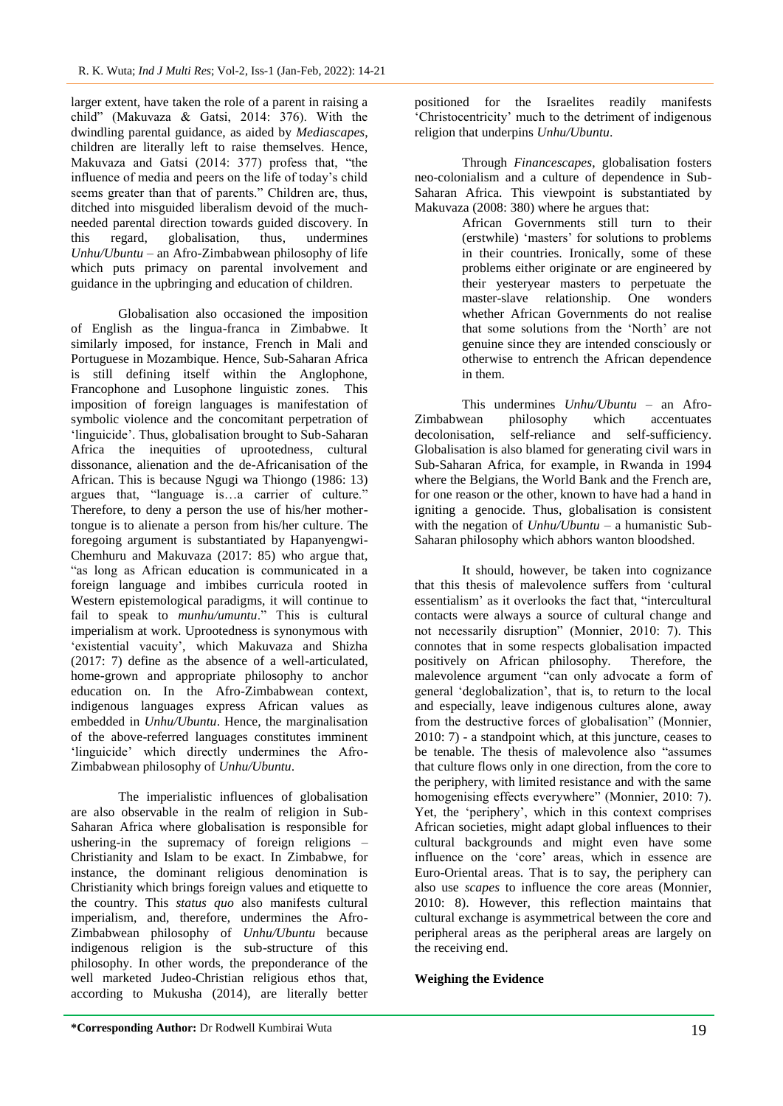larger extent, have taken the role of a parent in raising a child" (Makuvaza & Gatsi, 2014: 376). With the dwindling parental guidance, as aided by *Mediascapes*, children are literally left to raise themselves. Hence, Makuvaza and Gatsi (2014: 377) profess that, "the influence of media and peers on the life of today"s child seems greater than that of parents." Children are, thus, ditched into misguided liberalism devoid of the muchneeded parental direction towards guided discovery. In this regard, globalisation, thus, undermines *Unhu/Ubuntu* – an Afro-Zimbabwean philosophy of life which puts primacy on parental involvement and guidance in the upbringing and education of children.

Globalisation also occasioned the imposition of English as the lingua-franca in Zimbabwe. It similarly imposed, for instance, French in Mali and Portuguese in Mozambique. Hence, Sub-Saharan Africa is still defining itself within the Anglophone, Francophone and Lusophone linguistic zones. This imposition of foreign languages is manifestation of symbolic violence and the concomitant perpetration of 'linguicide'. Thus, globalisation brought to Sub-Saharan Africa the inequities of uprootedness, cultural dissonance, alienation and the de-Africanisation of the African. This is because Ngugi wa Thiongo (1986: 13) argues that, "language is…a carrier of culture." Therefore, to deny a person the use of his/her mothertongue is to alienate a person from his/her culture. The foregoing argument is substantiated by Hapanyengwi-Chemhuru and Makuvaza (2017: 85) who argue that, "as long as African education is communicated in a foreign language and imbibes curricula rooted in Western epistemological paradigms, it will continue to fail to speak to *munhu/umuntu*." This is cultural imperialism at work. Uprootedness is synonymous with "existential vacuity", which Makuvaza and Shizha (2017: 7) define as the absence of a well-articulated, home-grown and appropriate philosophy to anchor education on. In the Afro-Zimbabwean context, indigenous languages express African values as embedded in *Unhu/Ubuntu*. Hence, the marginalisation of the above-referred languages constitutes imminent 'linguicide' which directly undermines the Afro-Zimbabwean philosophy of *Unhu/Ubuntu*.

The imperialistic influences of globalisation are also observable in the realm of religion in Sub-Saharan Africa where globalisation is responsible for ushering-in the supremacy of foreign religions – Christianity and Islam to be exact. In Zimbabwe, for instance, the dominant religious denomination is Christianity which brings foreign values and etiquette to the country. This *status quo* also manifests cultural imperialism, and, therefore, undermines the Afro-Zimbabwean philosophy of *Unhu/Ubuntu* because indigenous religion is the sub-structure of this philosophy. In other words, the preponderance of the well marketed Judeo-Christian religious ethos that, according to Mukusha (2014), are literally better

positioned for the Israelites readily manifests "Christocentricity" much to the detriment of indigenous religion that underpins *Unhu/Ubuntu*.

Through *Financescapes*, globalisation fosters neo-colonialism and a culture of dependence in Sub-Saharan Africa. This viewpoint is substantiated by Makuvaza (2008: 380) where he argues that:

African Governments still turn to their (erstwhile) "masters" for solutions to problems in their countries. Ironically, some of these problems either originate or are engineered by their yesteryear masters to perpetuate the master-slave relationship. One wonders whether African Governments do not realise that some solutions from the "North" are not genuine since they are intended consciously or otherwise to entrench the African dependence in them.

This undermines *Unhu/Ubuntu* – an Afro-Zimbabwean philosophy which accentuates decolonisation, self-reliance and self-sufficiency. Globalisation is also blamed for generating civil wars in Sub-Saharan Africa, for example, in Rwanda in 1994 where the Belgians, the World Bank and the French are, for one reason or the other, known to have had a hand in igniting a genocide. Thus, globalisation is consistent with the negation of *Unhu/Ubuntu* – a humanistic Sub-Saharan philosophy which abhors wanton bloodshed.

It should, however, be taken into cognizance that this thesis of malevolence suffers from "cultural essentialism' as it overlooks the fact that, "intercultural contacts were always a source of cultural change and not necessarily disruption" (Monnier, 2010: 7). This connotes that in some respects globalisation impacted positively on African philosophy. Therefore, the malevolence argument "can only advocate a form of general "deglobalization", that is, to return to the local and especially, leave indigenous cultures alone, away from the destructive forces of globalisation" (Monnier, 2010: 7) - a standpoint which, at this juncture, ceases to be tenable. The thesis of malevolence also "assumes that culture flows only in one direction, from the core to the periphery, with limited resistance and with the same homogenising effects everywhere" (Monnier, 2010: 7). Yet, the 'periphery', which in this context comprises African societies, might adapt global influences to their cultural backgrounds and might even have some influence on the 'core' areas, which in essence are Euro-Oriental areas. That is to say, the periphery can also use *scapes* to influence the core areas (Monnier, 2010: 8). However, this reflection maintains that cultural exchange is asymmetrical between the core and peripheral areas as the peripheral areas are largely on the receiving end.

### **Weighing the Evidence**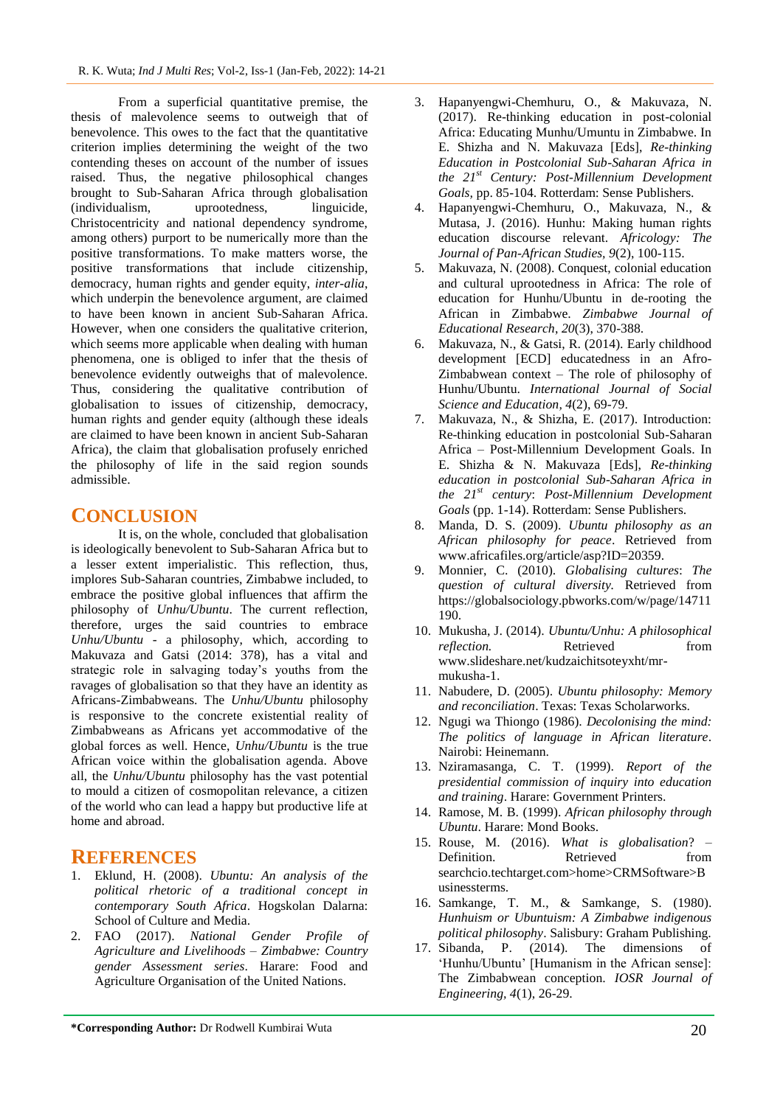From a superficial quantitative premise, the thesis of malevolence seems to outweigh that of benevolence. This owes to the fact that the quantitative criterion implies determining the weight of the two contending theses on account of the number of issues raised. Thus, the negative philosophical changes brought to Sub-Saharan Africa through globalisation (individualism, uprootedness, linguicide, Christocentricity and national dependency syndrome, among others) purport to be numerically more than the positive transformations. To make matters worse, the positive transformations that include citizenship, democracy, human rights and gender equity, *inter-alia*, which underpin the benevolence argument, are claimed to have been known in ancient Sub-Saharan Africa. However, when one considers the qualitative criterion, which seems more applicable when dealing with human phenomena, one is obliged to infer that the thesis of benevolence evidently outweighs that of malevolence. Thus, considering the qualitative contribution of globalisation to issues of citizenship, democracy, human rights and gender equity (although these ideals are claimed to have been known in ancient Sub-Saharan Africa), the claim that globalisation profusely enriched the philosophy of life in the said region sounds admissible.

### **CONCLUSION**

It is, on the whole, concluded that globalisation is ideologically benevolent to Sub-Saharan Africa but to a lesser extent imperialistic. This reflection, thus, implores Sub-Saharan countries, Zimbabwe included, to embrace the positive global influences that affirm the philosophy of *Unhu/Ubuntu*. The current reflection, therefore, urges the said countries to embrace *Unhu/Ubuntu* - a philosophy, which, according to Makuvaza and Gatsi (2014: 378), has a vital and strategic role in salvaging today"s youths from the ravages of globalisation so that they have an identity as Africans-Zimbabweans. The *Unhu/Ubuntu* philosophy is responsive to the concrete existential reality of Zimbabweans as Africans yet accommodative of the global forces as well. Hence, *Unhu/Ubuntu* is the true African voice within the globalisation agenda. Above all, the *Unhu/Ubuntu* philosophy has the vast potential to mould a citizen of cosmopolitan relevance, a citizen of the world who can lead a happy but productive life at home and abroad.

### **REFERENCES**

- 1. Eklund, H. (2008). *Ubuntu: An analysis of the political rhetoric of a traditional concept in contemporary South Africa*. Hogskolan Dalarna: School of Culture and Media.
- 2. FAO (2017). *National Gender Profile of Agriculture and Livelihoods – Zimbabwe: Country gender Assessment series*. Harare: Food and Agriculture Organisation of the United Nations.
- 3. Hapanyengwi-Chemhuru, O., & Makuvaza, N. (2017). Re-thinking education in post-colonial Africa: Educating Munhu/Umuntu in Zimbabwe. In E. Shizha and N. Makuvaza [Eds], *Re-thinking Education in Postcolonial Sub-Saharan Africa in the 21st Century: Post-Millennium Development Goals,* pp. 85-104. Rotterdam: Sense Publishers.
- 4. Hapanyengwi-Chemhuru, O., Makuvaza, N., & Mutasa, J. (2016). Hunhu: Making human rights education discourse relevant. *Africology: The Journal of Pan-African Studies, 9*(2), 100-115.
- 5. Makuvaza, N. (2008). Conquest, colonial education and cultural uprootedness in Africa: The role of education for Hunhu/Ubuntu in de-rooting the African in Zimbabwe. *Zimbabwe Journal of Educational Research*, *20*(3), 370-388.
- 6. Makuvaza, N., & Gatsi, R. (2014). Early childhood development [ECD] educatedness in an Afro-Zimbabwean context – The role of philosophy of Hunhu/Ubuntu. *International Journal of Social Science and Education, 4*(2), 69-79.
- 7. Makuvaza, N., & Shizha, E. (2017). Introduction: Re-thinking education in postcolonial Sub-Saharan Africa – Post-Millennium Development Goals. In E. Shizha & N. Makuvaza [Eds], *Re-thinking education in postcolonial Sub-Saharan Africa in the 21st century*: *Post-Millennium Development Goals* (pp. 1-14). Rotterdam: Sense Publishers.
- 8. Manda, D. S. (2009). *Ubuntu philosophy as an African philosophy for peace*. Retrieved from www.africafiles.org/article/asp?ID=20359.
- 9. Monnier, C. (2010). *Globalising cultures*: *The question of cultural diversity.* Retrieved from https://globalsociology.pbworks.com/w/page/14711 190.
- 10. Mukusha, J. (2014). *Ubuntu/Unhu: A philosophical reflection.* Retrieved from www.slideshare.net/kudzaichitsoteyxht/mrmukusha-1.
- 11. Nabudere, D. (2005). *Ubuntu philosophy: Memory and reconciliation*. Texas: Texas Scholarworks.
- 12. Ngugi wa Thiongo (1986). *Decolonising the mind: The politics of language in African literature*. Nairobi: Heinemann.
- 13. Nziramasanga, C. T. (1999). *Report of the presidential commission of inquiry into education and training*. Harare: Government Printers.
- 14. Ramose, M. B. (1999). *African philosophy through Ubuntu*. Harare: Mond Books.
- 15. Rouse, M. (2016). *What is globalisation*? Definition. Retrieved from searchcio.techtarget.com>home>CRMSoftware>B usinessterms.
- 16. Samkange, T. M., & Samkange, S. (1980). *Hunhuism or Ubuntuism: A Zimbabwe indigenous political philosophy*. Salisbury: Graham Publishing.
- 17. Sibanda, P. (2014). The dimensions of "Hunhu/Ubuntu" [Humanism in the African sense]: The Zimbabwean conception. *IOSR Journal of Engineering, 4*(1), 26-29.